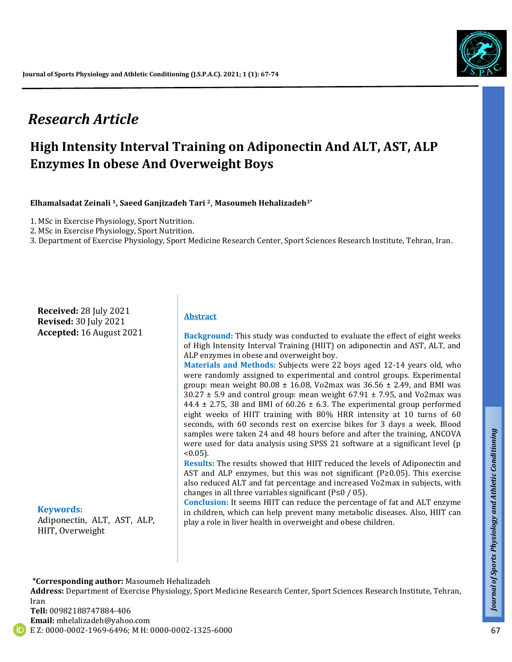# *Research Article*

# **High Intensity Interval Training on Adiponectin And ALT, AST, ALP Enzymes In obese And Overweight Boys**

**Elhamalsadat Zeinali 1, Saeed Ganjizadeh Tari <sup>2</sup>**, **Masoumeh Hehalizadeh3\***

1. MSc in Exercise Physiology, Sport Nutrition.

2. MSc in Exercise Physiology, Sport Nutrition.

3. Department of Exercise Physiology, Sport Medicine Research Center, Sport Sciences Research Institute, Tehran, Iran.

**Received:** 28 July 2021 **Revised:** 30 July 2021 **Accepted:** 16 August 2021

#### **Keywords:**

Adiponectin, ALT, AST, ALP, HIIT, Overweight

#### **Abstract**

**Background:** This study was conducted to evaluate the effect of eight weeks of High Intensity Interval Training (HIIT) on adiponectin and AST, ALT, and ALP enzymes in obese and overweight boy.

**Materials and Methods:** Subjects were 22 boys aged 12-14 years old, who were randomly assigned to experimental and control groups. Experimental group: mean weight  $80.08 \pm 16.08$ , Vo2max was  $36.56 \pm 2.49$ , and BMI was  $30.27 \pm 5.9$  and control group: mean weight 67.91  $\pm$  7.95, and Vo2max was 44.4  $\pm$  2.75, 38 and BMI of 60.26  $\pm$  6.3. The experimental group performed eight weeks of HIIT training with 80% HRR intensity at 10 turns of 60 seconds, with 60 seconds rest on exercise bikes for 3 days a week. Blood samples were taken 24 and 48 hours before and after the training, ANCOVA were used for data analysis using SPSS 21 software at a significant level (p  $< 0.05$ ).

**Results:** The results showed that HIIT reduced the levels of Adiponectin and AST and ALP enzymes, but this was not significant (P≥0.05). This exercise also reduced ALT and fat percentage and increased Vo2max in subjects, with changes in all three variables significant (P≤0 / 05).

**Conclusion:** It seems HIIT can reduce the percentage of fat and ALT enzyme in children, which can help prevent many metabolic diseases. Also, HIIT can play a role in liver health in overweight and obese children.

#### **\*Corresponding author:** Masoumeh Hehalizadeh

**Address:** Department of Exercise Physiology, Sport Medicine Research Center, Sport Sciences Research Institute, Tehran, Iran

**Tell:** 00982188747884-406 **Email:** [mhelalizadeh@yahoo.com](mailto:mhelalizadeh@yahoo.com)

E Z: 0000-0002-1969-6496; M H: 0000-0002-1325-6000

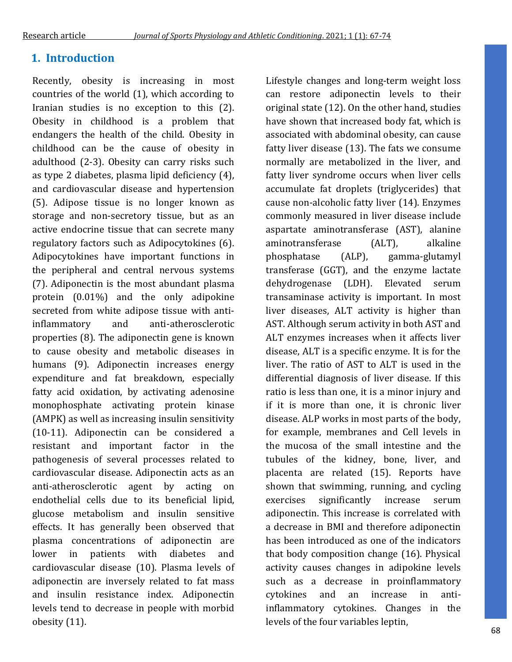# **1. Introduction**

Recently, obesity is increasing in most countries of the world (1), which according to Iranian studies is no exception to this (2). Obesity in childhood is a problem that endangers the health of the child. Obesity in childhood can be the cause of obesity in adulthood (2-3). Obesity can carry risks such as type 2 diabetes, plasma lipid deficiency (4), and cardiovascular disease and hypertension (5). Adipose tissue is no longer known as storage and non-secretory tissue, but as an active endocrine tissue that can secrete many regulatory factors such as Adipocytokines (6). Adipocytokines have important functions in the peripheral and central nervous systems (7). Adiponectin is the most abundant plasma protein (0.01%) and the only adipokine secreted from white adipose tissue with antiinflammatory and anti-atherosclerotic properties (8). The adiponectin gene is known to cause obesity and metabolic diseases in humans (9). Adiponectin increases energy expenditure and fat breakdown, especially fatty acid oxidation, by activating adenosine monophosphate activating protein kinase (AMPK) as well as increasing insulin sensitivity (10-11). Adiponectin can be considered a resistant and important factor in the pathogenesis of several processes related to cardiovascular disease. Adiponectin acts as an anti-atherosclerotic agent by acting on endothelial cells due to its beneficial lipid, glucose metabolism and insulin sensitive effects. It has generally been observed that plasma concentrations of adiponectin are lower in patients with diabetes and cardiovascular disease (10). Plasma levels of adiponectin are inversely related to fat mass and insulin resistance index. Adiponectin levels tend to decrease in people with morbid obesity (11).

Lifestyle changes and long-term weight loss can restore adiponectin levels to their original state (12). On the other hand, studies have shown that increased body fat, which is associated with abdominal obesity, can cause fatty liver disease (13). The fats we consume normally are metabolized in the liver, and fatty liver syndrome occurs when liver cells accumulate fat droplets (triglycerides) that cause non-alcoholic fatty liver (14). Enzymes commonly measured in liver disease include aspartate aminotransferase (AST), alanine aminotransferase (ALT), alkaline phosphatase (ALP), gamma-glutamyl transferase (GGT), and the enzyme lactate dehydrogenase (LDH). Elevated serum transaminase activity is important. In most liver diseases, ALT activity is higher than AST. Although serum activity in both AST and ALT enzymes increases when it affects liver disease, ALT is a specific enzyme. It is for the liver. The ratio of AST to ALT is used in the differential diagnosis of liver disease. If this ratio is less than one, it is a minor injury and if it is more than one, it is chronic liver disease. ALP works in most parts of the body, for example, membranes and Cell levels in the mucosa of the small intestine and the tubules of the kidney, bone, liver, and placenta are related (15). Reports have shown that swimming, running, and cycling exercises significantly increase serum adiponectin. This increase is correlated with a decrease in BMI and therefore adiponectin has been introduced as one of the indicators that body composition change (16). Physical activity causes changes in adipokine levels such as a decrease in proinflammatory cytokines and an increase in antiinflammatory cytokines. Changes in the levels of the four variables leptin,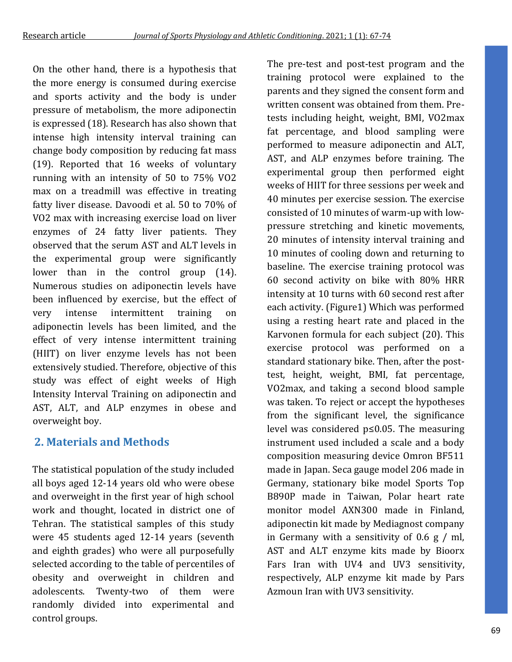On the other hand, there is a hypothesis that the more energy is consumed during exercise and sports activity and the body is under pressure of metabolism, the more adiponectin is expressed (18). Research has also shown that intense high intensity interval training can change body composition by reducing fat mass (19). Reported that 16 weeks of voluntary running with an intensity of 50 to 75% VO2 max on a treadmill was effective in treating fatty liver disease. Davoodi et al. 50 to 70% of VO2 max with increasing exercise load on liver enzymes of 24 fatty liver patients. They observed that the serum AST and ALT levels in the experimental group were significantly lower than in the control group (14). Numerous studies on adiponectin levels have been influenced by exercise, but the effect of very intense intermittent training on adiponectin levels has been limited, and the effect of very intense intermittent training (HIIT) on liver enzyme levels has not been extensively studied. Therefore, objective of this study was effect of eight weeks of High Intensity Interval Training on adiponectin and AST, ALT, and ALP enzymes in obese and overweight boy.

# **2. Materials and Methods**

The statistical population of the study included all boys aged 12-14 years old who were obese and overweight in the first year of high school work and thought, located in district one of Tehran. The statistical samples of this study were 45 students aged 12-14 years (seventh and eighth grades) who were all purposefully selected according to the table of percentiles of obesity and overweight in children and adolescents. Twenty-two of them were randomly divided into experimental and control groups.

The pre-test and post-test program and the training protocol were explained to the parents and they signed the consent form and written consent was obtained from them. Pretests including height, weight, BMI, VO2max fat percentage, and blood sampling were performed to measure adiponectin and ALT, AST, and ALP enzymes before training. The experimental group then performed eight weeks of HIIT for three sessions per week and 40 minutes per exercise session. The exercise consisted of 10 minutes of warm-up with lowpressure stretching and kinetic movements, 20 minutes of intensity interval training and 10 minutes of cooling down and returning to baseline. The exercise training protocol was 60 second activity on bike with 80% HRR intensity at 10 turns with 60 second rest after each activity. (Figure1) Which was performed using a resting heart rate and placed in the Karvonen formula for each subject (20). This exercise protocol was performed on a standard stationary bike. Then, after the posttest, height, weight, BMI, fat percentage, VO2max, and taking a second blood sample was taken. To reject or accept the hypotheses from the significant level, the significance level was considered p≤0.05. The measuring instrument used included a scale and a body composition measuring device Omron BF511 made in Japan. Seca gauge model 206 made in Germany, stationary bike model Sports Top B890P made in Taiwan, Polar heart rate monitor model AXN300 made in Finland, adiponectin kit made by Mediagnost company in Germany with a sensitivity of 0.6 g / ml, AST and ALT enzyme kits made by Bioorx Fars Iran with UV4 and UV3 sensitivity, respectively, ALP enzyme kit made by Pars Azmoun Iran with UV3 sensitivity.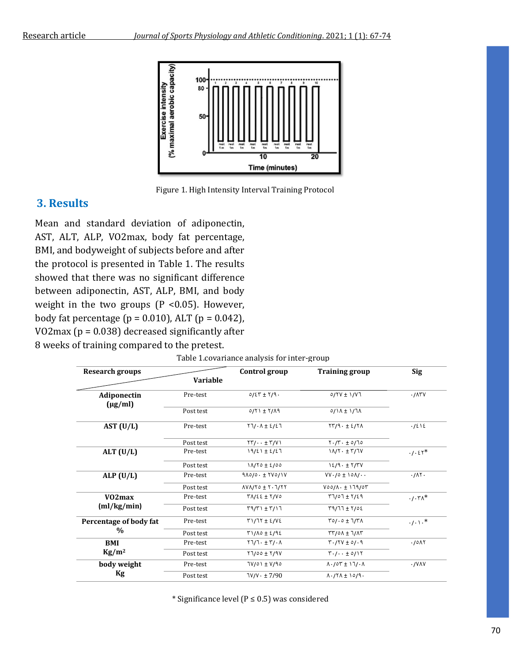

Figure 1. High Intensity Interval Training Protocol

## **3. Results**

Mean and standard deviation of adiponectin, AST, ALT, ALP, VO2max, body fat percentage, BMI, and bodyweight of subjects before and after the protocol is presented in Table 1. The results showed that there was no significant difference between adiponectin, AST, ALP, BMI, and body weight in the two groups ( $P < 0.05$ ). However, body fat percentage ( $p = 0.010$ ), ALT ( $p = 0.042$ ), VO2max (p = 0.038) decreased significantly after 8 weeks of training compared to the pretest.

| <b>Research groups</b>      |           | Control group                                                  | <b>Training group</b>                                 | <b>Sig</b>         |
|-----------------------------|-----------|----------------------------------------------------------------|-------------------------------------------------------|--------------------|
|                             | Variable  |                                                                |                                                       |                    |
| Adiponectin<br>$(\mu g/ml)$ | Pre-test  | $0/2T \pm Y/9$ .                                               | $0/11 + 1/17$                                         | .715V              |
|                             | Post test | $0/11 \pm 1/19$                                                | $0/1$ A $\pm$ 1/7A                                    |                    |
| AST $(U/L)$                 | Pre-test  | $Y \cdot \Lambda \pm \frac{2}{5}$                              | $\gamma\gamma\gamma\cdot\pm\gamma\gamma\gamma$        | .1215              |
|                             | Post test | $\Upsilon\Upsilon/\cdot\cdot\pm\Upsilon/\Upsilon$              | $Y \cdot / Y \cdot \pm 0/70$                          |                    |
| ALT $(U/L)$                 | Pre-test  | $19/21 \pm 2/27$                                               | $11/7. \pm 7/7V$                                      | $.1.51*$           |
|                             | Post test | $11/10 \pm 2/00$                                               | $12/9. \pm 7/7V$                                      |                    |
| ALP $(U/L)$                 | Pre-test  | $9\Lambda$ 0/0 $\cdot$ $\pm$ $\Upsilon$ V0/1V                  | $VV \cdot /0 \pm 10 \Lambda / \cdot \cdot$            | .711               |
|                             | Post test | $\Lambda$ V $\Lambda$ /Y $\circ$ $\pm$ Y $\cdot$ $\lambda$ /YY | $V$ 00/ $\Lambda$ . $\pm$ 179/07                      |                    |
| V02max                      | Pre-test  | $TAYSE \pm Y/VO$                                               | $77/07 + 7/29$                                        | $.7.7\lambda^*$    |
| (ml/kg/min)                 | Post test | $\Gamma$ 9/٣١ ± ٣/١٦                                           | $T9/77 \pm 7/02$                                      |                    |
| Percentage of body fat<br>% | Pre-test  | $T1/77 \pm 2/12$                                               | $TO/10 + T/T$                                         | $\cdot/\cdot$ \ .* |
|                             | Post test | $T1/\Lambda$ o ± ٤/٩٤                                          | $TY$ / $\circ \Lambda \pm 7$ / $\Lambda$              |                    |
| BMI                         | Pre-test  | $Y \cdot \pm Y / \cdot \Lambda$                                | $T.7Y + 0/0.9$                                        | .70 <sub>N</sub>   |
| $Kg/m^2$                    | Post test | $Y1/00 + Y/9V$                                                 | $\Upsilon \cdot / \cdot \cdot \pm 0/1 \Upsilon$       |                    |
| body weight                 | Pre-test  | $TV/O \rightarrow TV/O$                                        | $\Lambda \cdot / \delta \Upsilon \pm 1 \cdot \Lambda$ | . / VAV            |
| Kg                          | Post test | $7V/V \cdot \pm 7/90$                                          | $\Lambda$ ./۲ $\Lambda$ $\pm$ 10/9.                   |                    |

Table 1.covariance analysis for inter-group

\* Significance level (P ≤ 0.5) was considered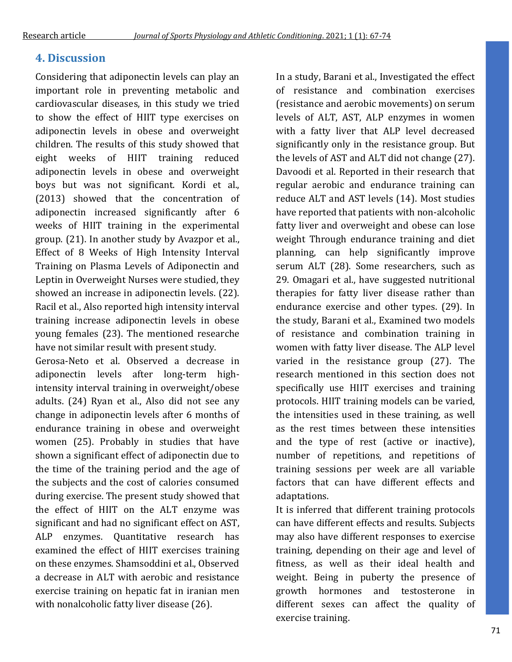# **4. Discussion**

Considering that adiponectin levels can play an important role in preventing metabolic and cardiovascular diseases, in this study we tried to show the effect of HIIT type exercises on adiponectin levels in obese and overweight children. The results of this study showed that eight weeks of HIIT training reduced adiponectin levels in obese and overweight boys but was not significant. Kordi et al., (2013) showed that the concentration of adiponectin increased significantly after 6 weeks of HIIT training in the experimental group. (21). In another study by Avazpor et al., Effect of 8 Weeks of High Intensity Interval Training on Plasma Levels of Adiponectin and Leptin in Overweight Nurses were studied, they showed an increase in adiponectin levels. (22). Racil et al., Also reported high intensity interval training increase adiponectin levels in obese young females (23). The mentioned researche have not similar result with present study.

Gerosa-Neto et al. Observed a decrease in adiponectin levels after long-term highintensity interval training in overweight/obese adults. (24) Ryan et al., Also did not see any change in adiponectin levels after 6 months of endurance training in obese and overweight women (25). Probably in studies that have shown a significant effect of adiponectin due to the time of the training period and the age of the subjects and the cost of calories consumed during exercise. The present study showed that the effect of HIIT on the ALT enzyme was significant and had no significant effect on AST, ALP enzymes. Quantitative research has examined the effect of HIIT exercises training on these enzymes. Shamsoddini et al., Observed a decrease in ALT with aerobic and resistance exercise training on hepatic fat in iranian men with nonalcoholic fatty liver disease (26).

In a study, Barani et al., Investigated the effect of resistance and combination exercises (resistance and aerobic movements) on serum levels of ALT, AST, ALP enzymes in women with a fatty liver that ALP level decreased significantly only in the resistance group. But the levels of AST and ALT did not change (27). Davoodi et al. Reported in their research that regular aerobic and endurance training can reduce ALT and AST levels (14). Most studies have reported that patients with non-alcoholic fatty liver and overweight and obese can lose weight Through endurance training and diet planning, can help significantly improve serum ALT (28). Some researchers, such as 29. Omagari et al., have suggested nutritional therapies for fatty liver disease rather than endurance exercise and other types. (29). In the study, Barani et al., Examined two models of resistance and combination training in women with fatty liver disease. The ALP level varied in the resistance group (27). The research mentioned in this section does not specifically use HIIT exercises and training protocols. HIIT training models can be varied, the intensities used in these training, as well as the rest times between these intensities and the type of rest (active or inactive), number of repetitions, and repetitions of training sessions per week are all variable factors that can have different effects and adaptations.

It is inferred that different training protocols can have different effects and results. Subjects may also have different responses to exercise training, depending on their age and level of fitness, as well as their ideal health and weight. Being in puberty the presence of growth hormones and testosterone in different sexes can affect the quality of exercise training.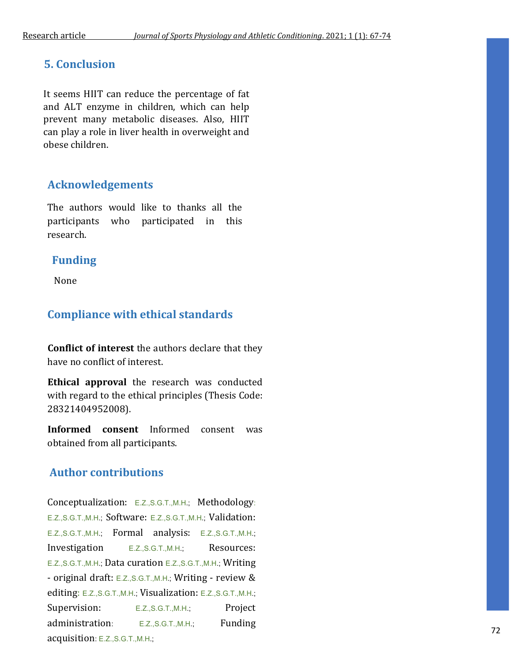### **5. Conclusion**

It seems HIIT can reduce the percentage of fat and ALT enzyme in children, which can help prevent many metabolic diseases. Also, HIIT can play a role in liver health in overweight and obese children.

## **Acknowledgements**

The authors would like to thanks all the participants who participated in this research.

### **Funding**

None

## **Compliance with ethical standards**

**Conflict of interest** the authors declare that they have no conflict of interest.

**Ethical approval** the research was conducted with regard to the ethical principles (Thesis Code: 28321404952008).

**Informed consent** Informed consent was obtained from all participants.

## **Author contributions**

Conceptualization: E.Z.,S.G.T.,M.H.; Methodology: E.Z.,S.G.T.,M.H.; Software: E.Z.,S.G.T.,M.H.; Validation: E.Z.,S.G.T.,M.H.; Formal analysis: E.Z.,S.G.T.,M.H.; Investigation E.Z., S.G.T., M.H.; Resources: E.Z.,S.G.T.,M.H.; Data curation E.Z.,S.G.T.,M.H.; Writing - original draft: E.Z.,S.G.T.,M.H.; Writing - review & editing: E.Z.,S.G.T.,M.H.; Visualization: E.Z.,S.G.T.,M.H.; Supervision: E.Z.,S.G.T.,M.H.; Project administration: E.Z.,S.G.T.,M.H.; Funding acquisition: E.Z.,S.G.T.,M.H.;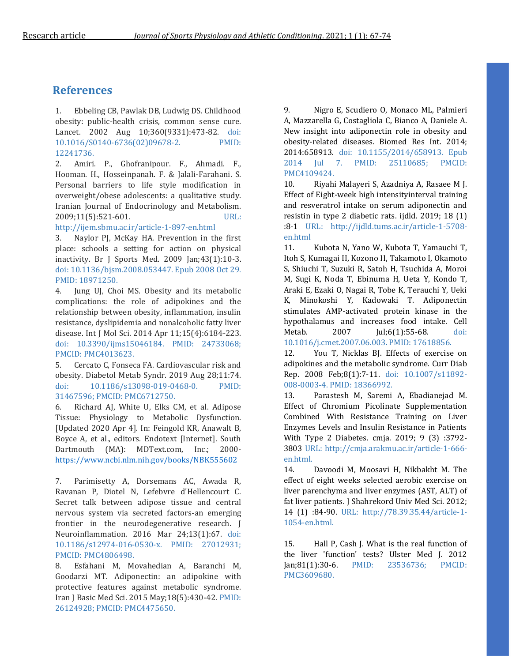# **References**

1. Ebbeling CB, Pawlak DB, Ludwig DS. Childhood obesity: public-health crisis, common sense cure. Lancet. 2002 Aug 10;360(9331):473-82. doi: 10.1016/S0140-6736(02)09678-2. PMID: 12241736.

2. Amiri. P., Ghofranipour. F., Ahmadi. F., Hooman. H., Hosseinpanah. F. & Jalali-Farahani. S. Personal barriers to life style modification in overweight/obese adolescents: a qualitative study. Iranian Journal of Endocrinology and Metabolism. 2009;11(5):521-601. URL:

http://ijem.sbmu.ac.ir/article-1-897-en.html

3. Naylor PJ, McKay HA. Prevention in the first place: schools a setting for action on physical inactivity. Br J Sports Med. 2009 Jan;43(1):10-3. doi: 10.1136/bjsm.2008.053447. Epub 2008 Oct 29. PMID: 18971250.

4. Jung UJ, Choi MS. Obesity and its metabolic complications: the role of adipokines and the relationship between obesity, inflammation, insulin resistance, dyslipidemia and nonalcoholic fatty liver disease. Int J Mol Sci. 2014 Apr 11;15(4):6184-223. doi: 10.3390/ijms15046184. PMID: 24733068; PMCID: PMC4013623.

5. Cercato C, Fonseca FA. Cardiovascular risk and obesity. Diabetol Metab Syndr. 2019 Aug 28;11:74. doi: 10.1186/s13098-019-0468-0. PMID: 31467596; PMCID: PMC6712750.

6. Richard AJ, White U, Elks CM, et al. Adipose Tissue: Physiology to Metabolic Dysfunction. [Updated 2020 Apr 4]. In: Feingold KR, Anawalt B, Boyce A, et al., editors. Endotext [Internet]. South Dartmouth (MA): MDText.com, Inc.; 2000 <https://www.ncbi.nlm.nih.gov/books/NBK555602>

7. Parimisetty A, Dorsemans AC, Awada R, Ravanan P, Diotel N, Lefebvre d'Hellencourt C. Secret talk between adipose tissue and central nervous system via secreted factors-an emerging frontier in the neurodegenerative research. J Neuroinflammation. 2016 Mar 24;13(1):67. doi: 10.1186/s12974-016-0530-x. PMID: 27012931; PMCID: PMC4806498.

8. Esfahani M, Movahedian A, Baranchi M, Goodarzi MT. Adiponectin: an adipokine with protective features against metabolic syndrome. Iran J Basic Med Sci. 2015 May;18(5):430-42. PMID: 26124928; PMCID: PMC4475650.

9. Nigro E, Scudiero O, Monaco ML, Palmieri A, Mazzarella G, Costagliola C, Bianco A, Daniele A. New insight into adiponectin role in obesity and obesity-related diseases. Biomed Res Int. 2014; 2014:658913. doi: 10.1155/2014/658913. Epub 2014 Jul 7. PMID: 25110685; PMCID: PMC4109424.

10. Riyahi Malayeri S, Azadniya A, Rasaee M J. Effect of Eight-week high intensityinterval training and resveratrol intake on serum adiponectin and resistin in type 2 diabetic rats. ijdld. 2019; 18 (1) :8-1 URL: http://ijdld.tums.ac.ir/article-1-5708 en.html

11. Kubota N, Yano W, Kubota T, Yamauchi T, Itoh S, Kumagai H, Kozono H, Takamoto I, Okamoto S, Shiuchi T, Suzuki R, Satoh H, Tsuchida A, Moroi M, Sugi K, Noda T, Ebinuma H, Ueta Y, Kondo T, Araki E, Ezaki O, Nagai R, Tobe K, Terauchi Y, Ueki K, Minokoshi Y, Kadowaki T. Adiponectin stimulates AMP-activated protein kinase in the hypothalamus and increases food intake. Cell Metab. 2007 Jul;6(1):55-68. doi: 10.1016/j.cmet.2007.06.003. PMID: 17618856.

12. You T, Nicklas BJ. Effects of exercise on adipokines and the metabolic syndrome. Curr Diab Rep. 2008 Feb;8(1):7-11. doi: 10.1007/s11892- 008-0003-4. PMID: 18366992.

13. Parastesh M, Saremi A, Ebadianejad M. Effect of Chromium Picolinate Supplementation Combined With Resistance Training on Liver Enzymes Levels and Insulin Resistance in Patients With Type 2 Diabetes. cmja. 2019; 9 (3) :3792- 3803 URL: [http://cmja.arakmu.ac.ir/article-1-666](http://cmja.arakmu.ac.ir/article-1-666-en.html) [en.html.](http://cmja.arakmu.ac.ir/article-1-666-en.html)

14. Davoodi M, Moosavi H, Nikbakht M. The effect of eight weeks selected aerobic exercise on liver parenchyma and liver enzymes (AST, ALT) of fat liver patients. J Shahrekord Univ Med Sci. 2012; 14 (1) :84-90. URL: [http://78.39.35.44/article-1-](http://78.39.35.44/article-1-1054-en.html) [1054-en.html.](http://78.39.35.44/article-1-1054-en.html)

15. Hall P, Cash J. What is the real function of the liver 'function' tests? Ulster Med J. 2012 Jan;81(1):30-6. PMID: 23536736; PMCID: PMC3609680.